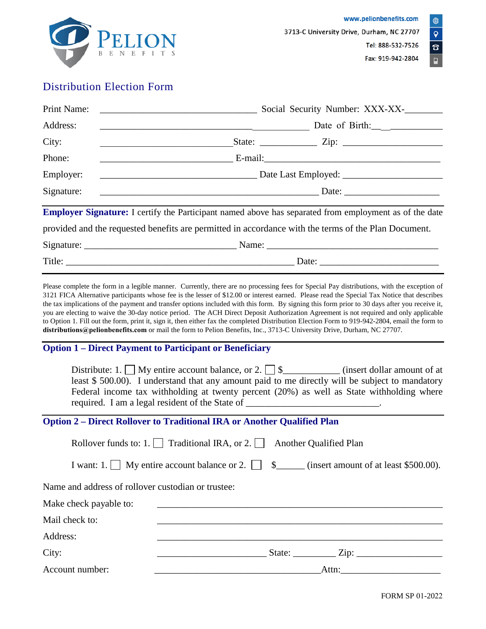

## Distribution Election Form

| Print Name:                                                                                                   | Social Security Number: XXX-XX-<br><u> 1989 - Johann Stein, skriuwer yn it ferfanging yn it ferfanging yn it ferfanging yn it ferfanging yn it ferfa</u> |  |  |  |
|---------------------------------------------------------------------------------------------------------------|----------------------------------------------------------------------------------------------------------------------------------------------------------|--|--|--|
| Address:                                                                                                      | Date of Birth:                                                                                                                                           |  |  |  |
| City:                                                                                                         | <u> 1989 - Johann Barnett, fransk politik (d. 1989)</u>                                                                                                  |  |  |  |
| Phone:                                                                                                        |                                                                                                                                                          |  |  |  |
| Employer:                                                                                                     |                                                                                                                                                          |  |  |  |
| Signature:                                                                                                    |                                                                                                                                                          |  |  |  |
| <b>Employer Signature:</b> I certify the Participant named above has separated from employment as of the date |                                                                                                                                                          |  |  |  |
| provided and the requested benefits are permitted in accordance with the terms of the Plan Document.          |                                                                                                                                                          |  |  |  |
|                                                                                                               |                                                                                                                                                          |  |  |  |
|                                                                                                               |                                                                                                                                                          |  |  |  |

Please complete the form in a legible manner. Currently, there are no processing fees for Special Pay distributions, with the exception of 3121 FICA Alternative participants whose fee is the lesser of \$12.00 or interest earned. Please read the Special Tax Notice that describes the tax implications of the payment and transfer options included with this form. By signing this form prior to 30 days after you receive it, you are electing to waive the 30-day notice period. The ACH Direct Deposit Authorization Agreement is not required and only applicable to Option 1. Fill out the form, print it, sign it, then either fax the completed Distribution Election Form to 919-942-2804, email the form to **distributions@pelionbenefits.com** or mail the form to Pelion Benefits, Inc., 3713-C University Drive, Durham, NC 27707.

#### **Option 1 – Direct Payment to Participant or Beneficiary**

| Distribute: 1. $\Box$ My entire account balance, or 2. $\Box$ \$                               | (insert dollar amount of at |
|------------------------------------------------------------------------------------------------|-----------------------------|
| least \$500.00). I understand that any amount paid to me directly will be subject to mandatory |                             |
| Federal income tax withholding at twenty percent $(20%)$ as well as State withholding where    |                             |
| required. I am a legal resident of the State of                                                |                             |

### **Option 2 – Direct Rollover to Traditional IRA or Another Qualified Plan**

|                                                    | Rollover funds to: 1. $\Box$ Traditional IRA, or 2. $\Box$ Another Qualified Plan |                                                                                                          |
|----------------------------------------------------|-----------------------------------------------------------------------------------|----------------------------------------------------------------------------------------------------------|
|                                                    |                                                                                   | I want: 1. $\Box$ My entire account balance or 2. $\Box$ \$_______ (insert amount of at least \$500.00). |
| Name and address of rollover custodian or trustee: |                                                                                   |                                                                                                          |
| Make check payable to:                             |                                                                                   |                                                                                                          |
| Mail check to:                                     |                                                                                   |                                                                                                          |
| Address:                                           |                                                                                   |                                                                                                          |
| City:                                              |                                                                                   | State: $\angle$ Zip: $\angle$                                                                            |
| Account number:                                    |                                                                                   | Attn:                                                                                                    |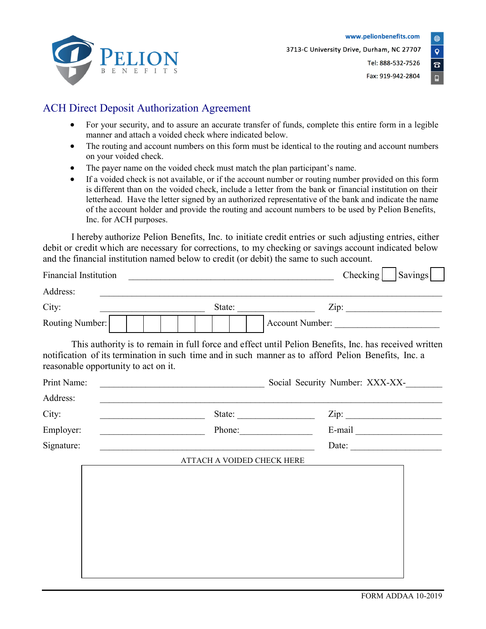

Tel: 888-532-7526 Fax: 919-942-2804 Q.

## ACH Direct Deposit Authorization Agreement

- For your security, and to assure an accurate transfer of funds, complete this entire form in a legible manner and attach a voided check where indicated below.
- The routing and account numbers on this form must be identical to the routing and account numbers on your voided check.
- The payer name on the voided check must match the plan participant's name.
- If a voided check is not available, or if the account number or routing number provided on this form is different than on the voided check, include a letter from the bank or financial institution on their letterhead. Have the letter signed by an authorized representative of the bank and indicate the name of the account holder and provide the routing and account numbers to be used by Pelion Benefits, Inc. for ACH purposes.

I hereby authorize Pelion Benefits, Inc. to initiate credit entries or such adjusting entries, either debit or credit which are necessary for corrections, to my checking or savings account indicated below and the financial institution named below to credit (or debit) the same to such account.

| <b>Financial Institution</b>         |                                                                                                                                                                                                               | Savings<br>Checking             |
|--------------------------------------|---------------------------------------------------------------------------------------------------------------------------------------------------------------------------------------------------------------|---------------------------------|
| Address:                             |                                                                                                                                                                                                               |                                 |
| City:                                | State:                                                                                                                                                                                                        | Zip:                            |
| Routing Number:                      | Account Number:                                                                                                                                                                                               |                                 |
| reasonable opportunity to act on it. | This authority is to remain in full force and effect until Pelion Benefits, Inc. has received written<br>notification of its termination in such time and in such manner as to afford Pelion Benefits, Inc. a |                                 |
| Print Name:                          | <u> 1989 - Jan Barbara, manazarta bashkar bashkar ashtar bashkar t</u>                                                                                                                                        | Social Security Number: XXX-XX- |
| Address:                             | <u> 1989 - Johann Stoff, amerikansk politiker (* 1908)</u>                                                                                                                                                    |                                 |
| City:                                | <u> Alexandria de la contrada de la contrada de la contrada de la contrada de la contrada de la contrada de la c</u>                                                                                          | Zip:                            |
| Employer:                            |                                                                                                                                                                                                               |                                 |
| Signature:                           | <u> 1989 - Johann Barn, mars an t-Amerikaansk politiker (* 1958)</u>                                                                                                                                          | Date: $\qquad \qquad$           |
|                                      | ATTACH A VOIDED CHECK HERE                                                                                                                                                                                    |                                 |
|                                      |                                                                                                                                                                                                               |                                 |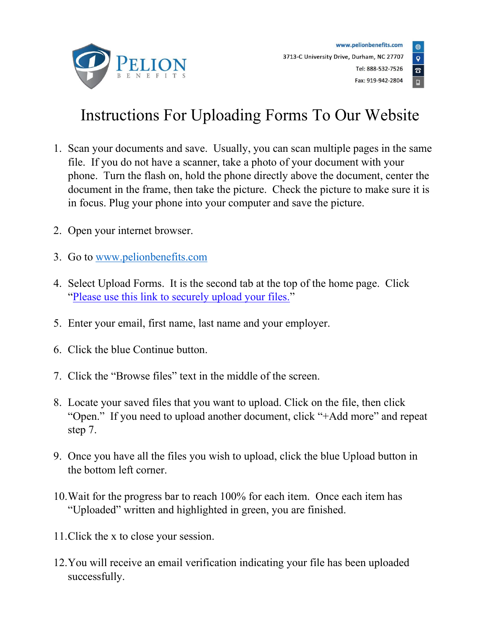



# Instructions For Uploading Forms To Our Website

- 1. Scan your documents and save. Usually, you can scan multiple pages in the same file. If you do not have a scanner, take a photo of your document with your phone. Turn the flash on, hold the phone directly above the document, center the document in the frame, then take the picture. Check the picture to make sure it is in focus. Plug your phone into your computer and save the picture.
- 2. Open your internet browser.
- 3. Go to [www.pelionbenefits.com](http://www.pelionbenefits.com/)
- 4. Select Upload Forms. It is the second tab at the top of the home page. Click ["Please use this link to securely upload your files."](https://pelionbenefits.sharefile.com/share/getinfo/rbca54c425fc4121b)
- 5. Enter your email, first name, last name and your employer.
- 6. Click the blue Continue button.
- 7. Click the "Browse files" text in the middle of the screen.
- 8. Locate your saved files that you want to upload. Click on the file, then click "Open." If you need to upload another document, click "+Add more" and repeat step 7.
- 9. Once you have all the files you wish to upload, click the blue Upload button in the bottom left corner.
- 10.Wait for the progress bar to reach 100% for each item. Once each item has "Uploaded" written and highlighted in green, you are finished.
- 11.Click the x to close your session.
- 12.You will receive an email verification indicating your file has been uploaded successfully.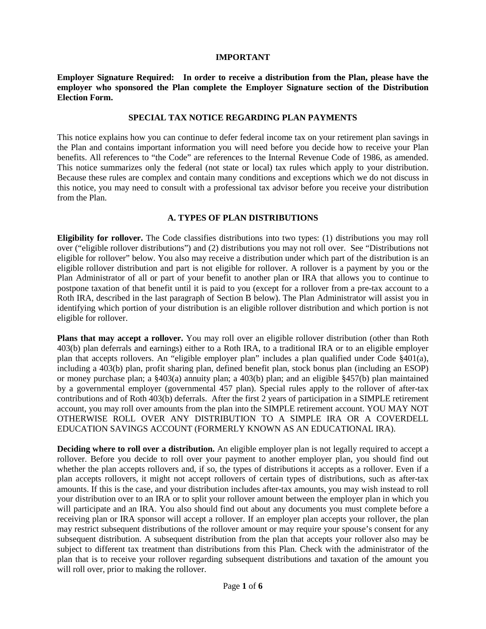#### **IMPORTANT**

**Employer Signature Required: In order to receive a distribution from the Plan, please have the employer who sponsored the Plan complete the Employer Signature section of the Distribution Election Form.**

#### **SPECIAL TAX NOTICE REGARDING PLAN PAYMENTS**

This notice explains how you can continue to defer federal income tax on your retirement plan savings in the Plan and contains important information you will need before you decide how to receive your Plan benefits. All references to "the Code" are references to the Internal Revenue Code of 1986, as amended. This notice summarizes only the federal (not state or local) tax rules which apply to your distribution. Because these rules are complex and contain many conditions and exceptions which we do not discuss in this notice, you may need to consult with a professional tax advisor before you receive your distribution from the Plan.

#### **A. TYPES OF PLAN DISTRIBUTIONS**

**Eligibility for rollover.** The Code classifies distributions into two types: (1) distributions you may roll over ("eligible rollover distributions") and (2) distributions you may not roll over. See "Distributions not eligible for rollover" below. You also may receive a distribution under which part of the distribution is an eligible rollover distribution and part is not eligible for rollover. A rollover is a payment by you or the Plan Administrator of all or part of your benefit to another plan or IRA that allows you to continue to postpone taxation of that benefit until it is paid to you (except for a rollover from a pre-tax account to a Roth IRA, described in the last paragraph of Section B below). The Plan Administrator will assist you in identifying which portion of your distribution is an eligible rollover distribution and which portion is not eligible for rollover.

**Plans that may accept a rollover.** You may roll over an eligible rollover distribution (other than Roth 403(b) plan deferrals and earnings) either to a Roth IRA, to a traditional IRA or to an eligible employer plan that accepts rollovers. An "eligible employer plan" includes a plan qualified under Code §401(a), including a 403(b) plan, profit sharing plan, defined benefit plan, stock bonus plan (including an ESOP) or money purchase plan; a §403(a) annuity plan; a 403(b) plan; and an eligible §457(b) plan maintained by a governmental employer (governmental 457 plan). Special rules apply to the rollover of after-tax contributions and of Roth 403(b) deferrals. After the first 2 years of participation in a SIMPLE retirement account, you may roll over amounts from the plan into the SIMPLE retirement account. YOU MAY NOT OTHERWISE ROLL OVER ANY DISTRIBUTION TO A SIMPLE IRA OR A COVERDELL EDUCATION SAVINGS ACCOUNT (FORMERLY KNOWN AS AN EDUCATIONAL IRA).

**Deciding where to roll over a distribution.** An eligible employer plan is not legally required to accept a rollover. Before you decide to roll over your payment to another employer plan, you should find out whether the plan accepts rollovers and, if so, the types of distributions it accepts as a rollover. Even if a plan accepts rollovers, it might not accept rollovers of certain types of distributions, such as after-tax amounts. If this is the case, and your distribution includes after-tax amounts, you may wish instead to roll your distribution over to an IRA or to split your rollover amount between the employer plan in which you will participate and an IRA. You also should find out about any documents you must complete before a receiving plan or IRA sponsor will accept a rollover. If an employer plan accepts your rollover, the plan may restrict subsequent distributions of the rollover amount or may require your spouse's consent for any subsequent distribution. A subsequent distribution from the plan that accepts your rollover also may be subject to different tax treatment than distributions from this Plan. Check with the administrator of the plan that is to receive your rollover regarding subsequent distributions and taxation of the amount you will roll over, prior to making the rollover.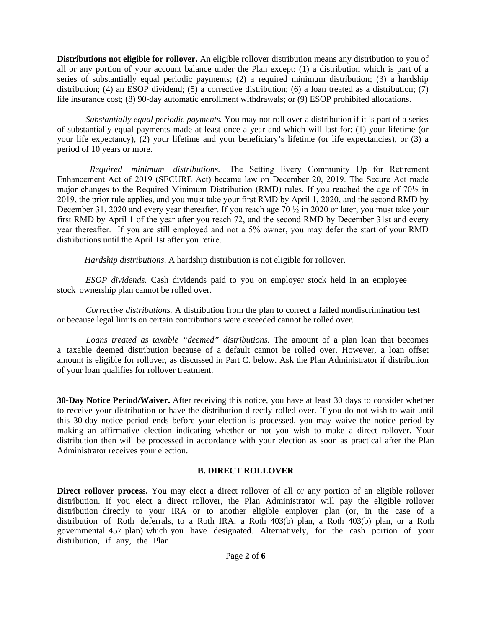**Distributions not eligible for rollover.** An eligible rollover distribution means any distribution to you of all or any portion of your account balance under the Plan except: (1) a distribution which is part of a series of substantially equal periodic payments; (2) a required minimum distribution; (3) a hardship distribution; (4) an ESOP dividend; (5) a corrective distribution; (6) a loan treated as a distribution; (7) life insurance cost; (8) 90-day automatic enrollment withdrawals; or (9) ESOP prohibited allocations.

*Substantially equal periodic payments.* You may not roll over a distribution if it is part of a series of substantially equal payments made at least once a year and which will last for: (1) your lifetime (or your life expectancy), (2) your lifetime and your beneficiary's lifetime (or life expectancies), or (3) a period of 10 years or more.

*Required minimum distributions.* The Setting Every Community Up for Retirement Enhancement Act of 2019 (SECURE Act) became law on December 20, 2019. The Secure Act made major changes to the Required Minimum Distribution (RMD) rules. If you reached the age of 70½ in 2019, the prior rule applies, and you must take your first RMD by April 1, 2020, and the second RMD by December 31, 2020 and every year thereafter. If you reach age 70 ½ in 2020 or later, you must take your first RMD by April 1 of the year after you reach 72, and the second RMD by December 31st and every year thereafter. If you are still employed and not a 5% owner, you may defer the start of your RMD distributions until the April 1st after you retire.

 *Hardship distributions*. A hardship distribution is not eligible for rollover.

*ESOP dividends*. Cash dividends paid to you on employer stock held in an employee stock ownership plan cannot be rolled over.

*Corrective distributions.* A distribution from the plan to correct a failed nondiscrimination test or because legal limits on certain contributions were exceeded cannot be rolled over.

*Loans treated as taxable "deemed" distributions.* The amount of a plan loan that becomes a taxable deemed distribution because of a default cannot be rolled over. However, a loan offset amount is eligible for rollover, as discussed in Part C. below. Ask the Plan Administrator if distribution of your loan qualifies for rollover treatment.

**30-Day Notice Period/Waiver.** After receiving this notice, you have at least 30 days to consider whether to receive your distribution or have the distribution directly rolled over. If you do not wish to wait until this 30-day notice period ends before your election is processed, you may waive the notice period by making an affirmative election indicating whether or not you wish to make a direct rollover. Your distribution then will be processed in accordance with your election as soon as practical after the Plan Administrator receives your election.

#### **B. DIRECT ROLLOVER**

**Direct rollover process.** You may elect a direct rollover of all or any portion of an eligible rollover distribution. If you elect a direct rollover, the Plan Administrator will pay the eligible rollover distribution directly to your IRA or to another eligible employer plan (or, in the case of a distribution of Roth deferrals, to a Roth IRA, a Roth 403(b) plan, a Roth 403(b) plan, or a Roth governmental 457 plan) which you have designated. Alternatively, for the cash portion of your distribution, if any, the Plan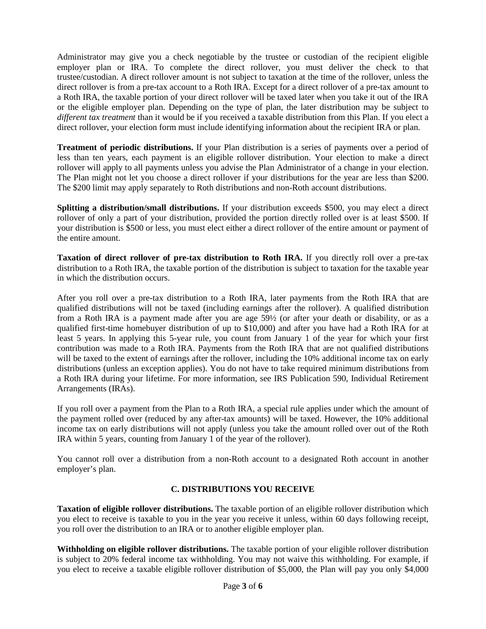Administrator may give you a check negotiable by the trustee or custodian of the recipient eligible employer plan or IRA. To complete the direct rollover, you must deliver the check to that trustee/custodian. A direct rollover amount is not subject to taxation at the time of the rollover, unless the direct rollover is from a pre-tax account to a Roth IRA. Except for a direct rollover of a pre-tax amount to a Roth IRA, the taxable portion of your direct rollover will be taxed later when you take it out of the IRA or the eligible employer plan. Depending on the type of plan, the later distribution may be subject to *different tax treatment* than it would be if you received a taxable distribution from this Plan. If you elect a direct rollover, your election form must include identifying information about the recipient IRA or plan.

**Treatment of periodic distributions.** If your Plan distribution is a series of payments over a period of less than ten years, each payment is an eligible rollover distribution. Your election to make a direct rollover will apply to all payments unless you advise the Plan Administrator of a change in your election. The Plan might not let you choose a direct rollover if your distributions for the year are less than \$200. The \$200 limit may apply separately to Roth distributions and non-Roth account distributions.

**Splitting a distribution/small distributions.** If your distribution exceeds \$500, you may elect a direct rollover of only a part of your distribution, provided the portion directly rolled over is at least \$500. If your distribution is \$500 or less, you must elect either a direct rollover of the entire amount or payment of the entire amount.

**Taxation of direct rollover of pre-tax distribution to Roth IRA.** If you directly roll over a pre-tax distribution to a Roth IRA, the taxable portion of the distribution is subject to taxation for the taxable year in which the distribution occurs.

After you roll over a pre-tax distribution to a Roth IRA, later payments from the Roth IRA that are qualified distributions will not be taxed (including earnings after the rollover). A qualified distribution from a Roth IRA is a payment made after you are age 59½ (or after your death or disability, or as a qualified first-time homebuyer distribution of up to \$10,000) and after you have had a Roth IRA for at least 5 years. In applying this 5-year rule, you count from January 1 of the year for which your first contribution was made to a Roth IRA. Payments from the Roth IRA that are not qualified distributions will be taxed to the extent of earnings after the rollover, including the 10% additional income tax on early distributions (unless an exception applies). You do not have to take required minimum distributions from a Roth IRA during your lifetime. For more information, see IRS Publication 590, Individual Retirement Arrangements (IRAs).

If you roll over a payment from the Plan to a Roth IRA, a special rule applies under which the amount of the payment rolled over (reduced by any after-tax amounts) will be taxed. However, the 10% additional income tax on early distributions will not apply (unless you take the amount rolled over out of the Roth IRA within 5 years, counting from January 1 of the year of the rollover).

You cannot roll over a distribution from a non-Roth account to a designated Roth account in another employer's plan.

#### **C. DISTRIBUTIONS YOU RECEIVE**

**Taxation of eligible rollover distributions.** The taxable portion of an eligible rollover distribution which you elect to receive is taxable to you in the year you receive it unless, within 60 days following receipt, you roll over the distribution to an IRA or to another eligible employer plan.

**Withholding on eligible rollover distributions.** The taxable portion of your eligible rollover distribution is subject to 20% federal income tax withholding. You may not waive this withholding. For example, if you elect to receive a taxable eligible rollover distribution of \$5,000, the Plan will pay you only \$4,000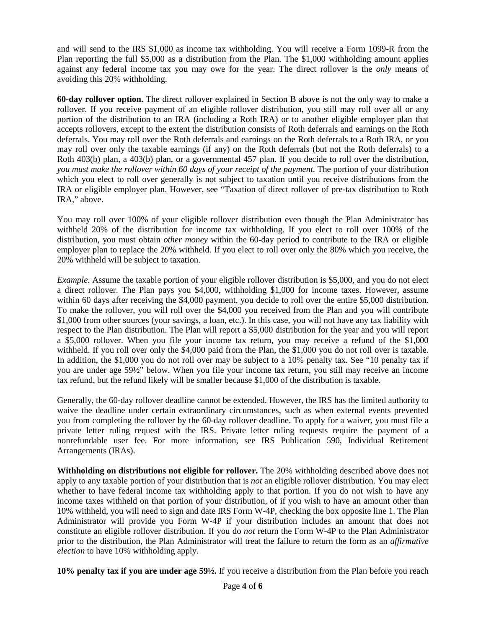and will send to the IRS \$1,000 as income tax withholding. You will receive a Form 1099-R from the Plan reporting the full \$5,000 as a distribution from the Plan. The \$1,000 withholding amount applies against any federal income tax you may owe for the year. The direct rollover is the *only* means of avoiding this 20% withholding.

**60-day rollover option.** The direct rollover explained in Section B above is not the only way to make a rollover. If you receive payment of an eligible rollover distribution, you still may roll over all or any portion of the distribution to an IRA (including a Roth IRA) or to another eligible employer plan that accepts rollovers, except to the extent the distribution consists of Roth deferrals and earnings on the Roth deferrals. You may roll over the Roth deferrals and earnings on the Roth deferrals to a Roth IRA, or you may roll over only the taxable earnings (if any) on the Roth deferrals (but not the Roth deferrals) to a Roth 403(b) plan, a 403(b) plan, or a governmental 457 plan. If you decide to roll over the distribution, *you must make the rollover within 60 days of your receipt of the payment.* The portion of your distribution which you elect to roll over generally is not subject to taxation until you receive distributions from the IRA or eligible employer plan. However, see "Taxation of direct rollover of pre-tax distribution to Roth IRA," above.

You may roll over 100% of your eligible rollover distribution even though the Plan Administrator has withheld 20% of the distribution for income tax withholding. If you elect to roll over 100% of the distribution, you must obtain *other money* within the 60-day period to contribute to the IRA or eligible employer plan to replace the 20% withheld. If you elect to roll over only the 80% which you receive, the 20% withheld will be subject to taxation.

*Example.* Assume the taxable portion of your eligible rollover distribution is \$5,000, and you do not elect a direct rollover. The Plan pays you \$4,000, withholding \$1,000 for income taxes. However, assume within 60 days after receiving the \$4,000 payment, you decide to roll over the entire \$5,000 distribution. To make the rollover, you will roll over the \$4,000 you received from the Plan and you will contribute \$1,000 from other sources (your savings, a loan, etc.). In this case, you will not have any tax liability with respect to the Plan distribution. The Plan will report a \$5,000 distribution for the year and you will report a \$5,000 rollover. When you file your income tax return, you may receive a refund of the \$1,000 withheld. If you roll over only the \$4,000 paid from the Plan, the \$1,000 you do not roll over is taxable. In addition, the \$1,000 you do not roll over may be subject to a 10% penalty tax. See "10 penalty tax if you are under age 59½" below. When you file your income tax return, you still may receive an income tax refund, but the refund likely will be smaller because \$1,000 of the distribution is taxable.

Generally, the 60-day rollover deadline cannot be extended. However, the IRS has the limited authority to waive the deadline under certain extraordinary circumstances, such as when external events prevented you from completing the rollover by the 60-day rollover deadline. To apply for a waiver, you must file a private letter ruling request with the IRS. Private letter ruling requests require the payment of a nonrefundable user fee. For more information, see IRS Publication 590, Individual Retirement Arrangements (IRAs).

**Withholding on distributions not eligible for rollover.** The 20% withholding described above does not apply to any taxable portion of your distribution that is *not* an eligible rollover distribution. You may elect whether to have federal income tax withholding apply to that portion. If you do not wish to have any income taxes withheld on that portion of your distribution, of if you wish to have an amount other than 10% withheld, you will need to sign and date IRS Form W-4P, checking the box opposite line 1. The Plan Administrator will provide you Form W-4P if your distribution includes an amount that does not constitute an eligible rollover distribution. If you do *not* return the Form W-4P to the Plan Administrator prior to the distribution, the Plan Administrator will treat the failure to return the form as an *affirmative election* to have 10% withholding apply.

**10% penalty tax if you are under age 59½.** If you receive a distribution from the Plan before you reach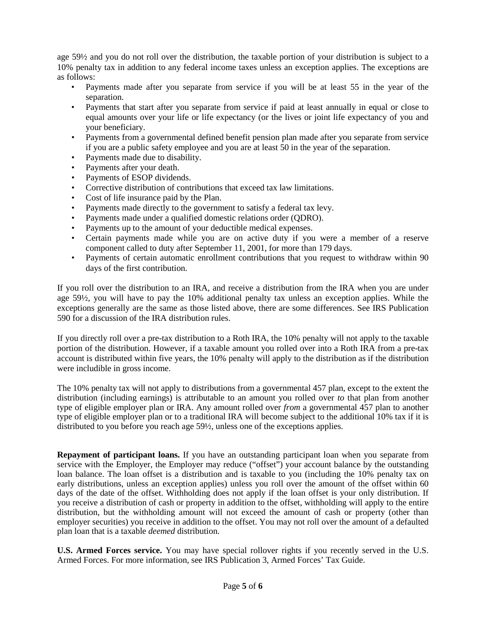age 59½ and you do not roll over the distribution, the taxable portion of your distribution is subject to a 10% penalty tax in addition to any federal income taxes unless an exception applies. The exceptions are as follows:

- Payments made after you separate from service if you will be at least 55 in the year of the separation.
- Payments that start after you separate from service if paid at least annually in equal or close to equal amounts over your life or life expectancy (or the lives or joint life expectancy of you and your beneficiary.
- Payments from a governmental defined benefit pension plan made after you separate from service if you are a public safety employee and you are at least 50 in the year of the separation.
- Payments made due to disability.
- Payments after your death.
- Payments of ESOP dividends.
- Corrective distribution of contributions that exceed tax law limitations.
- Cost of life insurance paid by the Plan.
- Payments made directly to the government to satisfy a federal tax levy.
- Payments made under a qualified domestic relations order (QDRO).
- Payments up to the amount of your deductible medical expenses.
- Certain payments made while you are on active duty if you were a member of a reserve component called to duty after September 11, 2001, for more than 179 days.
- Payments of certain automatic enrollment contributions that you request to withdraw within 90 days of the first contribution.

If you roll over the distribution to an IRA, and receive a distribution from the IRA when you are under age 59½, you will have to pay the 10% additional penalty tax unless an exception applies. While the exceptions generally are the same as those listed above, there are some differences. See IRS Publication 590 for a discussion of the IRA distribution rules.

If you directly roll over a pre-tax distribution to a Roth IRA, the 10% penalty will not apply to the taxable portion of the distribution. However, if a taxable amount you rolled over into a Roth IRA from a pre-tax account is distributed within five years, the 10% penalty will apply to the distribution as if the distribution were includible in gross income.

The 10% penalty tax will not apply to distributions from a governmental 457 plan, except to the extent the distribution (including earnings) is attributable to an amount you rolled over *to* that plan from another type of eligible employer plan or IRA. Any amount rolled over *from* a governmental 457 plan to another type of eligible employer plan or to a traditional IRA will become subject to the additional 10% tax if it is distributed to you before you reach age 59½, unless one of the exceptions applies.

**Repayment of participant loans.** If you have an outstanding participant loan when you separate from service with the Employer, the Employer may reduce ("offset") your account balance by the outstanding loan balance. The loan offset is a distribution and is taxable to you (including the 10% penalty tax on early distributions, unless an exception applies) unless you roll over the amount of the offset within 60 days of the date of the offset. Withholding does not apply if the loan offset is your only distribution. If you receive a distribution of cash or property in addition to the offset, withholding will apply to the entire distribution, but the withholding amount will not exceed the amount of cash or property (other than employer securities) you receive in addition to the offset. You may not roll over the amount of a defaulted plan loan that is a taxable *deemed* distribution.

**U.S. Armed Forces service.** You may have special rollover rights if you recently served in the U.S. Armed Forces. For more information, see IRS Publication 3, Armed Forces' Tax Guide.